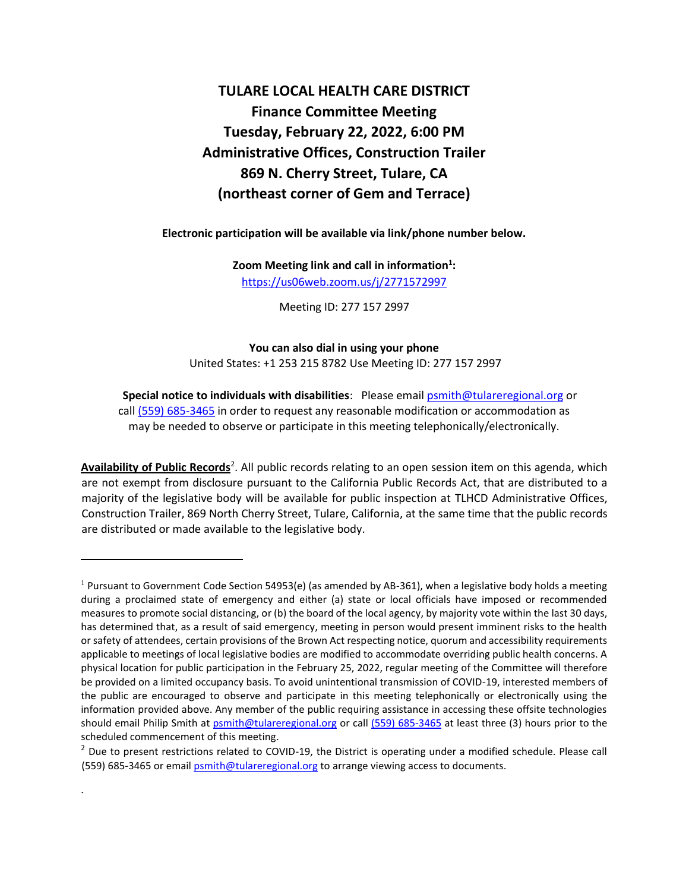# **TULARE LOCAL HEALTH CARE DISTRICT Finance Committee Meeting Tuesday, February 22, 2022, 6:00 PM Administrative Offices, Construction Trailer 869 N. Cherry Street, Tulare, CA (northeast corner of Gem and Terrace)**

**Electronic participation will be available via link/phone number below.** 

**Zoom Meeting link and call in information<sup>1</sup> :**  <https://us06web.zoom.us/j/2771572997>

Meeting ID: 277 157 2997

**You can also dial in using your phone** United States: +1 253 215 8782 Use Meeting ID: 277 157 2997

**Special notice to individuals with disabilities**: Please email psmith@tulareregional.org or call (559) 685-3465 in order to request any reasonable modification or accommodation as may be needed to observe or participate in this meeting telephonically/electronically.

Availability of Public Records<sup>2</sup>. All public records relating to an open session item on this agenda, which are not exempt from disclosure pursuant to the California Public Records Act, that are distributed to a majority of the legislative body will be available for public inspection at TLHCD Administrative Offices, Construction Trailer, 869 North Cherry Street, Tulare, California, at the same time that the public records are distributed or made available to the legislative body.

.

<sup>&</sup>lt;sup>1</sup> Pursuant to Government Code Section 54953(e) (as amended by AB-361), when a legislative body holds a meeting during a proclaimed state of emergency and either (a) state or local officials have imposed or recommended measures to promote social distancing, or (b) the board of the local agency, by majority vote within the last 30 days, has determined that, as a result of said emergency, meeting in person would present imminent risks to the health or safety of attendees, certain provisions of the Brown Act respecting notice, quorum and accessibility requirements applicable to meetings of local legislative bodies are modified to accommodate overriding public health concerns. A physical location for public participation in the February 25, 2022, regular meeting of the Committee will therefore be provided on a limited occupancy basis. To avoid unintentional transmission of COVID-19, interested members of the public are encouraged to observe and participate in this meeting telephonically or electronically using the information provided above. Any member of the public requiring assistance in accessing these offsite technologies should email Philip Smith at [psmith@tulareregional.org](mailto:psmith@tulareregional.org) or call (559) 685-3465 at least three (3) hours prior to the scheduled commencement of this meeting.

 $<sup>2</sup>$  Due to present restrictions related to COVID-19, the District is operating under a modified schedule. Please call</sup> (559) 685-3465 or emai[l psmith@tulareregional.org](mailto:psmith@tulareregional.org) to arrange viewing access to documents.